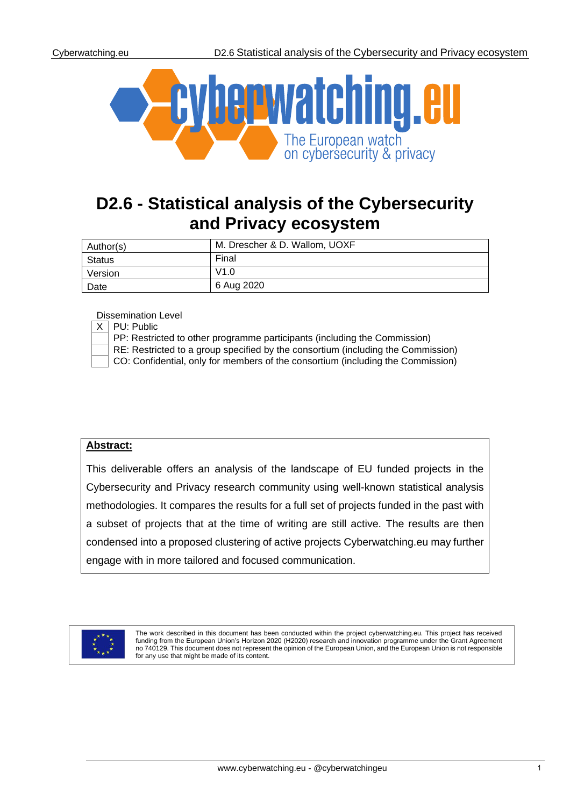

# **D2.6 - Statistical analysis of the Cybersecurity and Privacy ecosystem**

| Author(s) | M. Drescher & D. Wallom, UOXF |
|-----------|-------------------------------|
| Status    | Final                         |
| Version   | V1.0                          |
| Date      | 6 Aug 2020                    |

Dissemination Level

|  | <b>LUSSEITIILIQUUL LEVEL</b>                                                     |
|--|----------------------------------------------------------------------------------|
|  | $X \perp \textsf{PU}$ : Public                                                   |
|  | PP: Restricted to other programme participants (including the Commission)        |
|  | RE: Restricted to a group specified by the consortium (including the Commission) |
|  | CO: Confidential, only for members of the consortium (including the Commission)  |

### **Abstract:**

This deliverable offers an analysis of the landscape of EU funded projects in the Cybersecurity and Privacy research community using well-known statistical analysis methodologies. It compares the results for a full set of projects funded in the past with a subset of projects that at the time of writing are still active. The results are then condensed into a proposed clustering of active projects Cyberwatching.eu may further engage with in more tailored and focused communication.



The work described in this document has been conducted within the project cyberwatching.eu. This project has received funding from the European Union's Horizon 2020 (H2020) research and innovation programme under the Grant Agreement no 740129. This document does not represent the opinion of the European Union, and the European Union is not responsible for any use that might be made of its content.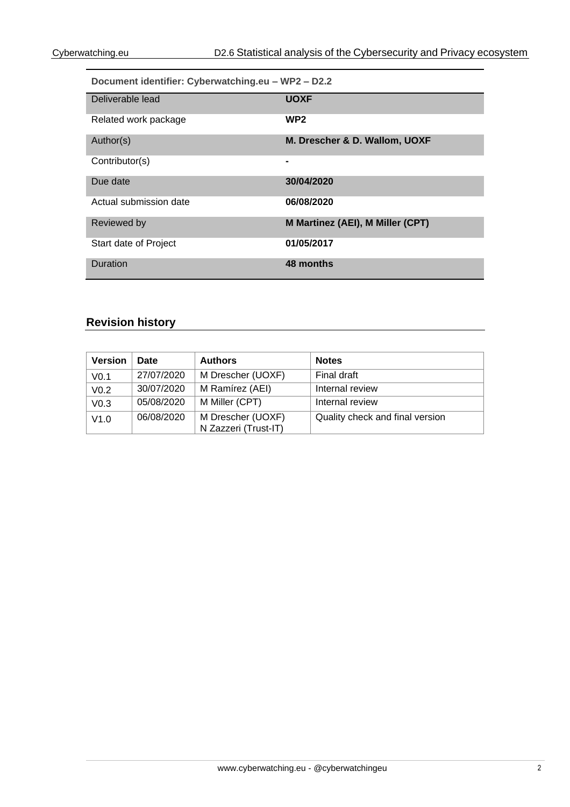| Document identifier: Cyberwatching.eu - WP2 - D2.2 |                                  |  |  |
|----------------------------------------------------|----------------------------------|--|--|
| Deliverable lead                                   | <b>UOXF</b>                      |  |  |
| Related work package                               | WP <sub>2</sub>                  |  |  |
| Author(s)                                          | M. Drescher & D. Wallom, UOXF    |  |  |
| Contributor(s)                                     |                                  |  |  |
| Due date                                           | 30/04/2020                       |  |  |
| Actual submission date                             | 06/08/2020                       |  |  |
| Reviewed by                                        | M Martinez (AEI), M Miller (CPT) |  |  |
| Start date of Project                              | 01/05/2017                       |  |  |
| Duration                                           | 48 months                        |  |  |

# **Revision history**

| <b>Version</b>                                                     | Date       | <b>Authors</b>                            | <b>Notes</b>                    |
|--------------------------------------------------------------------|------------|-------------------------------------------|---------------------------------|
| 27/07/2020<br>M Drescher (UOXF)<br>Final draft<br>V <sub>0.1</sub> |            |                                           |                                 |
| V <sub>0.2</sub>                                                   | 30/07/2020 | M Ramírez (AEI)                           | Internal review                 |
| V <sub>0.3</sub>                                                   | 05/08/2020 | M Miller (CPT)                            | Internal review                 |
| V1.0                                                               | 06/08/2020 | M Drescher (UOXF)<br>N Zazzeri (Trust-IT) | Quality check and final version |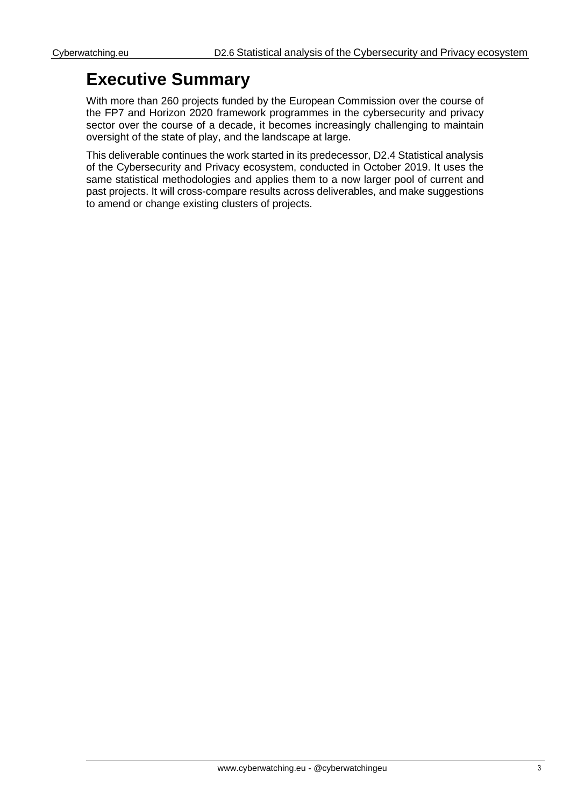# **Executive Summary**

With more than 260 projects funded by the European Commission over the course of the FP7 and Horizon 2020 framework programmes in the cybersecurity and privacy sector over the course of a decade, it becomes increasingly challenging to maintain oversight of the state of play, and the landscape at large.

This deliverable continues the work started in its predecessor, D2.4 Statistical analysis of the Cybersecurity and Privacy ecosystem, conducted in October 2019. It uses the same statistical methodologies and applies them to a now larger pool of current and past projects. It will cross-compare results across deliverables, and make suggestions to amend or change existing clusters of projects.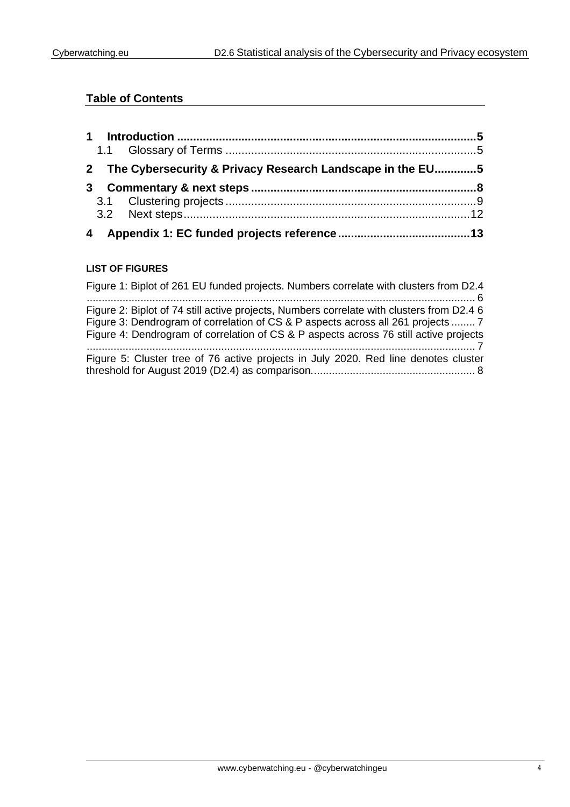# **Table of Contents**

|   |   | 2 The Cybersecurity & Privacy Research Landscape in the EU5 |  |
|---|---|-------------------------------------------------------------|--|
|   | 3 |                                                             |  |
|   |   |                                                             |  |
|   |   |                                                             |  |
| 4 |   |                                                             |  |

### **LIST OF FIGURES**

| Figure 1: Biplot of 261 EU funded projects. Numbers correlate with clusters from D2.4                                                                                                                                                                                  |
|------------------------------------------------------------------------------------------------------------------------------------------------------------------------------------------------------------------------------------------------------------------------|
| Figure 2: Biplot of 74 still active projects, Numbers correlate with clusters from D2.4 6<br>Figure 3: Dendrogram of correlation of CS & P aspects across all 261 projects  7<br>Figure 4: Dendrogram of correlation of CS & P aspects across 76 still active projects |
| Figure 5: Cluster tree of 76 active projects in July 2020. Red line denotes cluster                                                                                                                                                                                    |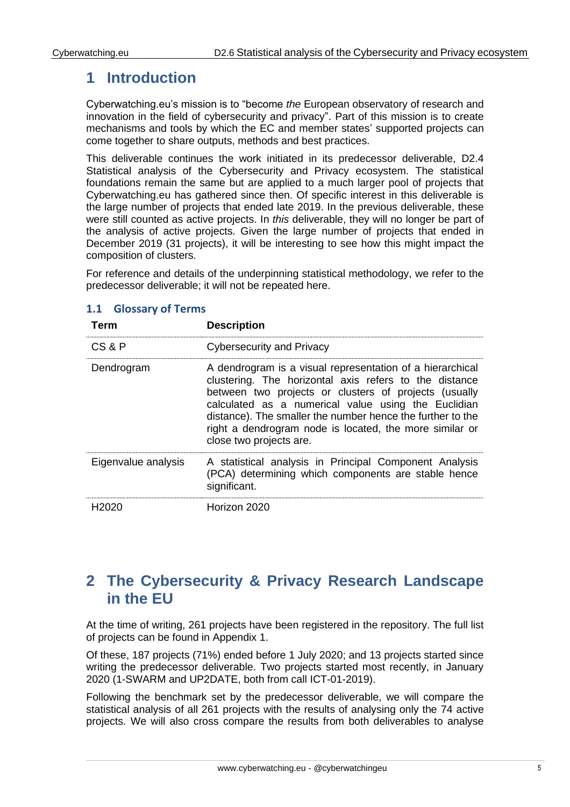# <span id="page-4-0"></span>**1 Introduction**

Cyberwatching.eu's mission is to "become *the* European observatory of research and innovation in the field of cybersecurity and privacy". Part of this mission is to create mechanisms and tools by which the EC and member states' supported projects can come together to share outputs, methods and best practices.

This deliverable continues the work initiated in its predecessor deliverable, D2.4 Statistical analysis of the Cybersecurity and Privacy ecosystem. The statistical foundations remain the same but are applied to a much larger pool of projects that Cyberwatching.eu has gathered since then. Of specific interest in this deliverable is the large number of projects that ended late 2019. In the previous deliverable, these were still counted as active projects. In *this* deliverable, they will no longer be part of the analysis of active projects. Given the large number of projects that ended in December 2019 (31 projects), it will be interesting to see how this might impact the composition of clusters.

For reference and details of the underpinning statistical methodology, we refer to the predecessor deliverable; it will not be repeated here.

| Term                | <b>Description</b>                                                                                                                                                                                                                                                                                                                                                                      |
|---------------------|-----------------------------------------------------------------------------------------------------------------------------------------------------------------------------------------------------------------------------------------------------------------------------------------------------------------------------------------------------------------------------------------|
| CS & P              | <b>Cybersecurity and Privacy</b>                                                                                                                                                                                                                                                                                                                                                        |
| Dendrogram          | A dendrogram is a visual representation of a hierarchical<br>clustering. The horizontal axis refers to the distance<br>between two projects or clusters of projects (usually<br>calculated as a numerical value using the Euclidian<br>distance). The smaller the number hence the further to the<br>right a dendrogram node is located, the more similar or<br>close two projects are. |
| Eigenvalue analysis | A statistical analysis in Principal Component Analysis<br>(PCA) determining which components are stable hence<br>significant.                                                                                                                                                                                                                                                           |
| H2020               | Horizon 2020                                                                                                                                                                                                                                                                                                                                                                            |

# <span id="page-4-1"></span>**1.1 Glossary of Terms**

# <span id="page-4-2"></span>**2 The Cybersecurity & Privacy Research Landscape in the EU**

At the time of writing, 261 projects have been registered in the repository. The full list of projects can be found in Appendix 1.

Of these, 187 projects (71%) ended before 1 July 2020; and 13 projects started since writing the predecessor deliverable. Two projects started most recently, in January 2020 (1-SWARM and UP2DATE, both from call ICT-01-2019).

Following the benchmark set by the predecessor deliverable, we will compare the statistical analysis of all 261 projects with the results of analysing only the 74 active projects. We will also cross compare the results from both deliverables to analyse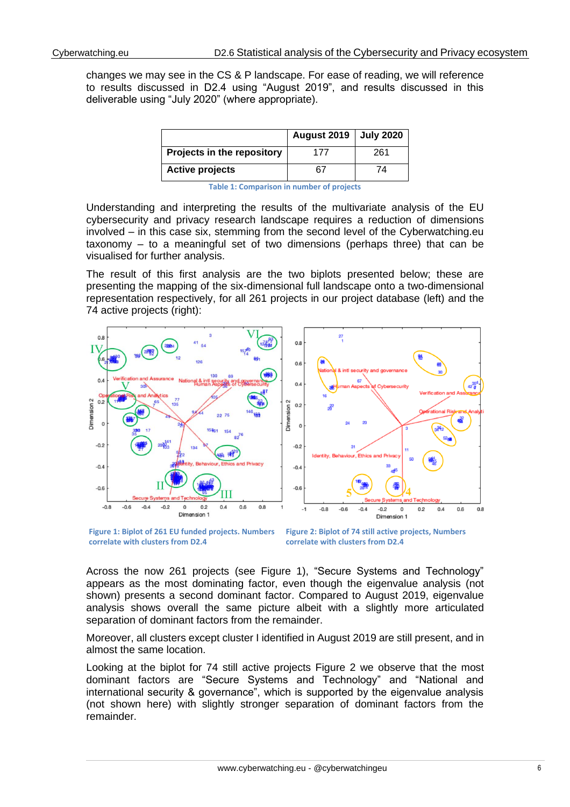changes we may see in the CS & P landscape. For ease of reading, we will reference to results discussed in D2.4 using "August 2019", and results discussed in this deliverable using "July 2020" (where appropriate).

|                            | August 2019   July 2020 |     |
|----------------------------|-------------------------|-----|
| Projects in the repository | 177                     | 261 |
| <b>Active projects</b>     | 67                      | 74  |

**Table 1: Comparison in number of projects**

Understanding and interpreting the results of the multivariate analysis of the EU cybersecurity and privacy research landscape requires a reduction of dimensions involved – in this case six, stemming from the second level of the Cyberwatching.eu taxonomy – to a meaningful set of two dimensions (perhaps three) that can be visualised for further analysis.

The result of this first analysis are the two biplots presented below; these are presenting the mapping of the six-dimensional full landscape onto a two-dimensional representation respectively, for all 261 projects in our project database (left) and the 74 active projects (right):



<span id="page-5-0"></span>**Figure 1: Biplot of 261 EU funded projects. Numbers correlate with clusters from D2.4**

<span id="page-5-1"></span>**Figure 2: Biplot of 74 still active projects, Numbers correlate with clusters from D2.4**

Across the now 261 projects (see [Figure 1\)](#page-5-0), "Secure Systems and Technology" appears as the most dominating factor, even though the eigenvalue analysis (not shown) presents a second dominant factor. Compared to August 2019, eigenvalue analysis shows overall the same picture albeit with a slightly more articulated separation of dominant factors from the remainder.

Moreover, all clusters except cluster I identified in August 2019 are still present, and in almost the same location.

Looking at the biplot for 74 still active projects [Figure 2](#page-5-1) we observe that the most dominant factors are "Secure Systems and Technology" and "National and international security & governance", which is supported by the eigenvalue analysis (not shown here) with slightly stronger separation of dominant factors from the remainder.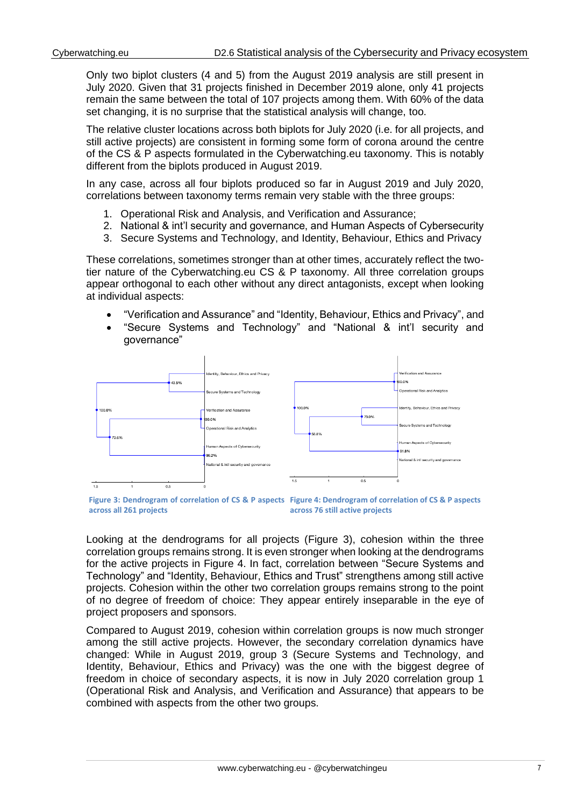Only two biplot clusters (4 and 5) from the August 2019 analysis are still present in July 2020. Given that 31 projects finished in December 2019 alone, only 41 projects remain the same between the total of 107 projects among them. With 60% of the data set changing, it is no surprise that the statistical analysis will change, too.

The relative cluster locations across both biplots for July 2020 (i.e. for all projects, and still active projects) are consistent in forming some form of corona around the centre of the CS & P aspects formulated in the Cyberwatching.eu taxonomy. This is notably different from the biplots produced in August 2019.

In any case, across all four biplots produced so far in August 2019 and July 2020, correlations between taxonomy terms remain very stable with the three groups:

- 1. Operational Risk and Analysis, and Verification and Assurance;
- 2. National & int'l security and governance, and Human Aspects of Cybersecurity
- 3. Secure Systems and Technology, and Identity, Behaviour, Ethics and Privacy

These correlations, sometimes stronger than at other times, accurately reflect the twotier nature of the Cyberwatching.eu CS & P taxonomy. All three correlation groups appear orthogonal to each other without any direct antagonists, except when looking at individual aspects:

- "Verification and Assurance" and "Identity, Behaviour, Ethics and Privacy", and
- "Secure Systems and Technology" and "National & int'l security and governance"



<span id="page-6-1"></span><span id="page-6-0"></span>**Figure 3: Dendrogram of correlation of CS & P aspects Figure 4: Dendrogram of correlation of CS & P aspects across all 261 projects across 76 still active projects**

Looking at the dendrograms for all projects [\(Figure 3\)](#page-6-0), cohesion within the three correlation groups remains strong. It is even stronger when looking at the dendrograms for the active projects in [Figure 4.](#page-6-1) In fact, correlation between "Secure Systems and Technology" and "Identity, Behaviour, Ethics and Trust" strengthens among still active projects. Cohesion within the other two correlation groups remains strong to the point of no degree of freedom of choice: They appear entirely inseparable in the eye of project proposers and sponsors.

Compared to August 2019, cohesion within correlation groups is now much stronger among the still active projects. However, the secondary correlation dynamics have changed: While in August 2019, group 3 (Secure Systems and Technology, and Identity, Behaviour, Ethics and Privacy) was the one with the biggest degree of freedom in choice of secondary aspects, it is now in July 2020 correlation group 1 (Operational Risk and Analysis, and Verification and Assurance) that appears to be combined with aspects from the other two groups.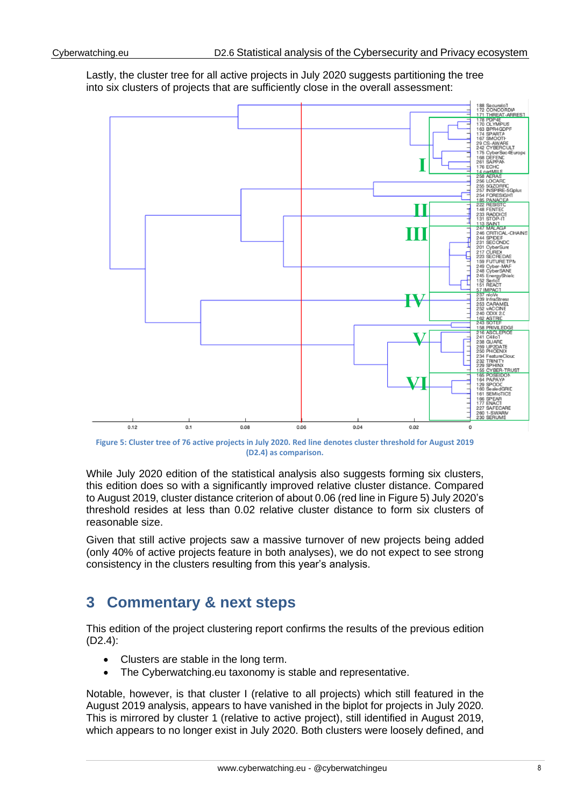Lastly, the cluster tree for all active projects in July 2020 suggests partitioning the tree into six clusters of projects that are sufficiently close in the overall assessment:



<span id="page-7-1"></span>**Figure 5: Cluster tree of 76 active projects in July 2020. Red line denotes cluster threshold for August 2019 (D2.4) as comparison.**

While July 2020 edition of the statistical analysis also suggests forming six clusters, this edition does so with a significantly improved relative cluster distance. Compared to August 2019, cluster distance criterion of about 0.06 (red line in [Figure 5\)](#page-7-1) July 2020's threshold resides at less than 0.02 relative cluster distance to form six clusters of reasonable size.

Given that still active projects saw a massive turnover of new projects being added (only 40% of active projects feature in both analyses), we do not expect to see strong consistency in the clusters resulting from this year's analysis.

# <span id="page-7-0"></span>**3 Commentary & next steps**

This edition of the project clustering report confirms the results of the previous edition (D2.4):

- Clusters are stable in the long term.
- The Cyberwatching.eu taxonomy is stable and representative.

Notable, however, is that cluster I (relative to all projects) which still featured in the August 2019 analysis, appears to have vanished in the biplot for projects in July 2020. This is mirrored by cluster 1 (relative to active project), still identified in August 2019, which appears to no longer exist in July 2020. Both clusters were loosely defined, and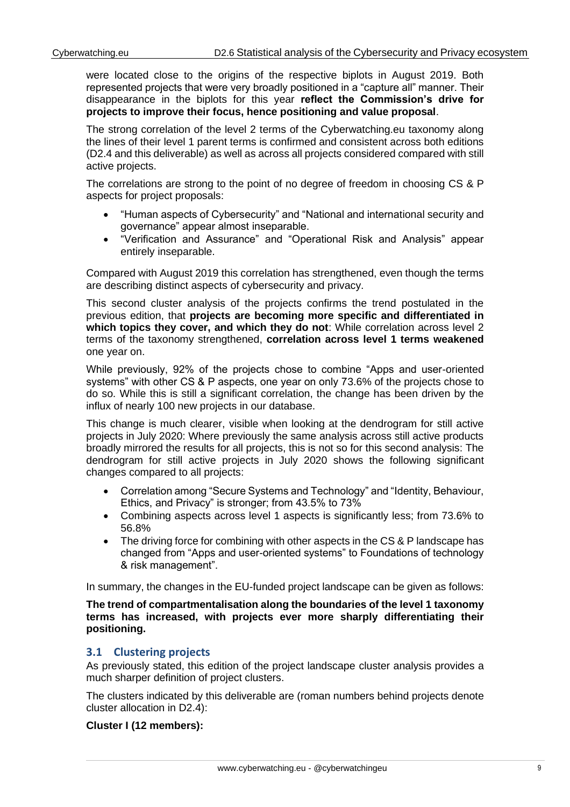were located close to the origins of the respective biplots in August 2019. Both represented projects that were very broadly positioned in a "capture all" manner. Their disappearance in the biplots for this year **reflect the Commission's drive for projects to improve their focus, hence positioning and value proposal**.

The strong correlation of the level 2 terms of the Cyberwatching.eu taxonomy along the lines of their level 1 parent terms is confirmed and consistent across both editions (D2.4 and this deliverable) as well as across all projects considered compared with still active projects.

The correlations are strong to the point of no degree of freedom in choosing CS & P aspects for project proposals:

- "Human aspects of Cybersecurity" and "National and international security and governance" appear almost inseparable.
- "Verification and Assurance" and "Operational Risk and Analysis" appear entirely inseparable.

Compared with August 2019 this correlation has strengthened, even though the terms are describing distinct aspects of cybersecurity and privacy.

This second cluster analysis of the projects confirms the trend postulated in the previous edition, that **projects are becoming more specific and differentiated in which topics they cover, and which they do not**: While correlation across level 2 terms of the taxonomy strengthened, **correlation across level 1 terms weakened** one year on.

While previously, 92% of the projects chose to combine "Apps and user-oriented systems" with other CS & P aspects, one year on only 73.6% of the projects chose to do so. While this is still a significant correlation, the change has been driven by the influx of nearly 100 new projects in our database.

This change is much clearer, visible when looking at the dendrogram for still active projects in July 2020: Where previously the same analysis across still active products broadly mirrored the results for all projects, this is not so for this second analysis: The dendrogram for still active projects in July 2020 shows the following significant changes compared to all projects:

- Correlation among "Secure Systems and Technology" and "Identity, Behaviour, Ethics, and Privacy" is stronger; from 43.5% to 73%
- Combining aspects across level 1 aspects is significantly less; from 73.6% to 56.8%
- The driving force for combining with other aspects in the CS & P landscape has changed from "Apps and user-oriented systems" to Foundations of technology & risk management".

In summary, the changes in the EU-funded project landscape can be given as follows:

**The trend of compartmentalisation along the boundaries of the level 1 taxonomy terms has increased, with projects ever more sharply differentiating their positioning.**

## <span id="page-8-0"></span>**3.1 Clustering projects**

As previously stated, this edition of the project landscape cluster analysis provides a much sharper definition of project clusters.

The clusters indicated by this deliverable are (roman numbers behind projects denote cluster allocation in D2.4):

### **Cluster I (12 members):**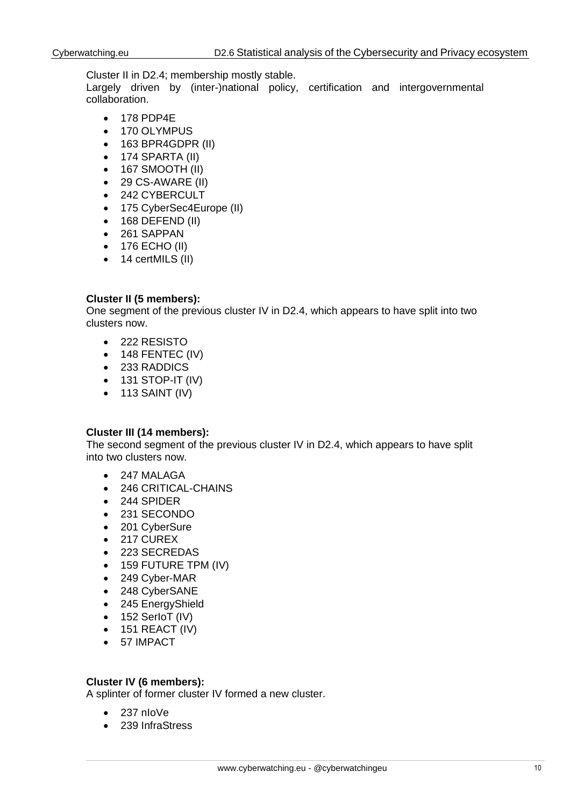Cluster II in D2.4; membership mostly stable.

Largely driven by (inter-)national policy, certification and intergovernmental collaboration.

- 178 PDP4E
- 170 OLYMPUS
- 163 BPR4GDPR (II)
- 174 SPARTA (II)
- $\bullet$  167 SMOOTH (II)
- 29 CS-AWARE (II)
- 242 CYBERCULT
- 175 CyberSec4Europe (II)
- $\bullet$  168 DEFEND (II)
- 261 SAPPAN
- 176 ECHO (II)
- 14 certMILS (II)

### **Cluster II (5 members):**

One segment of the previous cluster IV in D2.4, which appears to have split into two clusters now.

- 222 RESISTO
- 148 FENTEC (IV)
- 233 RADDICS
- 131 STOP-IT (IV)
- $\bullet$  113 SAINT (IV)

### **Cluster III (14 members):**

The second segment of the previous cluster IV in D2.4, which appears to have split into two clusters now.

- 247 MALAGA
- 246 CRITICAL-CHAINS
- 244 SPIDER
- 231 SECONDO
- 201 CyberSure
- 217 CUREX
- 223 SECREDAS
- 159 FUTURE TPM (IV)
- 249 Cyber-MAR
- 248 CyberSANE
- 245 EnergyShield
- 152 SerloT (IV)
- $\bullet$  151 REACT (IV)
- 57 IMPACT

### **Cluster IV (6 members):**

A splinter of former cluster IV formed a new cluster.

- 237 nIoVe
- 239 InfraStress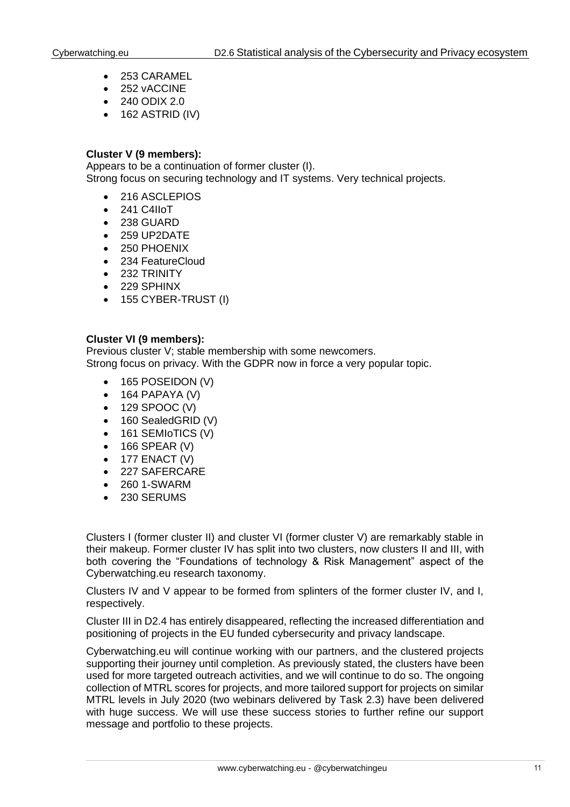- 253 CARAMEL
- 252 vACCINE
- 240 ODIX 2.0
- $\bullet$  162 ASTRID (IV)

#### **Cluster V (9 members):**

Appears to be a continuation of former cluster (I). Strong focus on securing technology and IT systems. Very technical projects.

- 216 ASCLEPIOS
- 241 C4IIoT
- 238 GUARD
- 259 UP2DATE
- 250 PHOENIX
- 234 FeatureCloud
- 232 TRINITY
- 229 SPHINX
- 155 CYBER-TRUST (I)

#### **Cluster VI (9 members):**

Previous cluster V; stable membership with some newcomers. Strong focus on privacy. With the GDPR now in force a very popular topic.

- 165 POSEIDON (V)
- $\bullet$  164 PAPAYA (V)
- 129 SPOOC (V)
- 160 SealedGRID (V)
- 161 SEMIoTICS (V)
- 166 SPEAR (V)
- $\bullet$  177 ENACT (V)
- 227 SAFERCARE
- 260 1-SWARM
- 230 SERUMS

Clusters I (former cluster II) and cluster VI (former cluster V) are remarkably stable in their makeup. Former cluster IV has split into two clusters, now clusters II and III, with both covering the "Foundations of technology & Risk Management" aspect of the Cyberwatching.eu research taxonomy.

Clusters IV and V appear to be formed from splinters of the former cluster IV, and I, respectively.

Cluster III in D2.4 has entirely disappeared, reflecting the increased differentiation and positioning of projects in the EU funded cybersecurity and privacy landscape.

Cyberwatching.eu will continue working with our partners, and the clustered projects supporting their journey until completion. As previously stated, the clusters have been used for more targeted outreach activities, and we will continue to do so. The ongoing collection of MTRL scores for projects, and more tailored support for projects on similar MTRL levels in July 2020 (two webinars delivered by Task 2.3) have been delivered with huge success. We will use these success stories to further refine our support message and portfolio to these projects.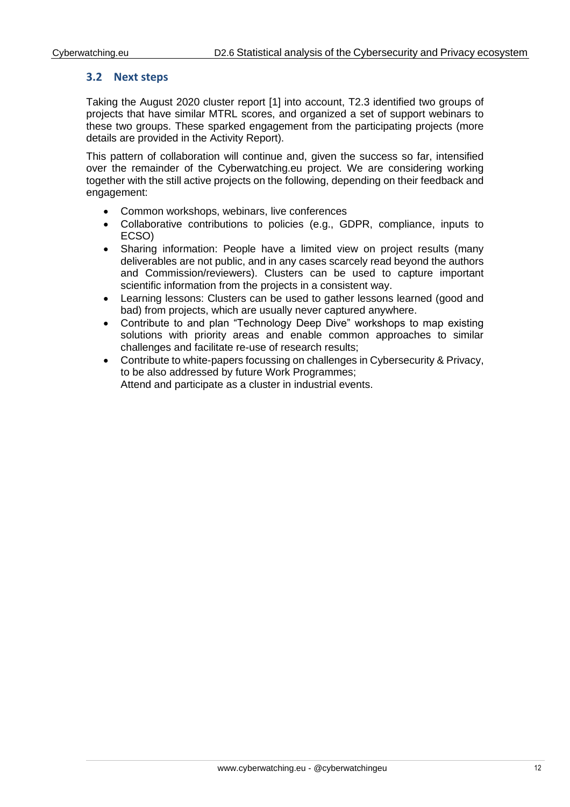## <span id="page-11-0"></span>**3.2 Next steps**

Taking the August 2020 cluster report [1] into account, T2.3 identified two groups of projects that have similar MTRL scores, and organized a set of support webinars to these two groups. These sparked engagement from the participating projects (more details are provided in the Activity Report).

This pattern of collaboration will continue and, given the success so far, intensified over the remainder of the Cyberwatching.eu project. We are considering working together with the still active projects on the following, depending on their feedback and engagement:

- Common workshops, webinars, live conferences
- Collaborative contributions to policies (e.g., GDPR, compliance, inputs to ECSO)
- Sharing information: People have a limited view on project results (many deliverables are not public, and in any cases scarcely read beyond the authors and Commission/reviewers). Clusters can be used to capture important scientific information from the projects in a consistent way.
- Learning lessons: Clusters can be used to gather lessons learned (good and bad) from projects, which are usually never captured anywhere.
- Contribute to and plan "Technology Deep Dive" workshops to map existing solutions with priority areas and enable common approaches to similar challenges and facilitate re-use of research results;
- Contribute to white-papers focussing on challenges in Cybersecurity & Privacy, to be also addressed by future Work Programmes; Attend and participate as a cluster in industrial events.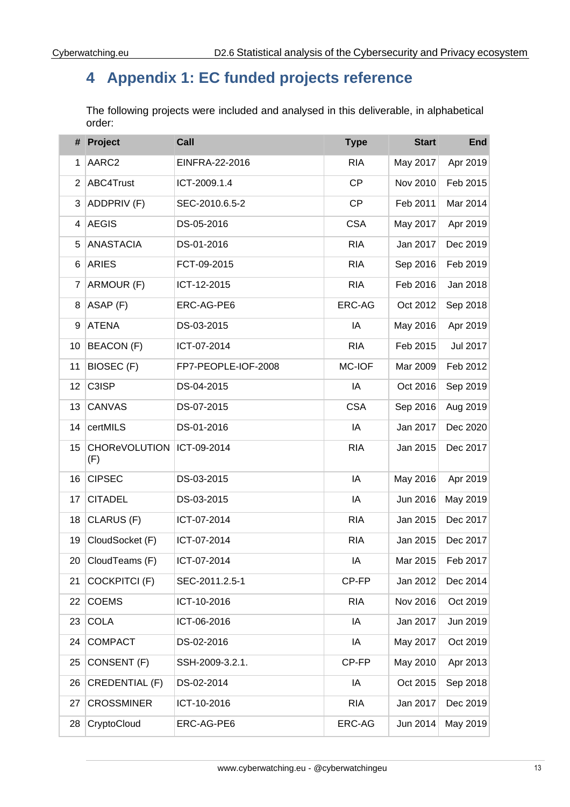# <span id="page-12-0"></span>**Appendix 1: EC funded projects reference**

The following projects were included and analysed in this deliverable, in alphabetical order:

|                 | # Project                   | Call                | <b>Type</b> | <b>Start</b> | <b>End</b> |
|-----------------|-----------------------------|---------------------|-------------|--------------|------------|
| $\mathbf{1}$    | AARC2                       | EINFRA-22-2016      | <b>RIA</b>  | May 2017     | Apr 2019   |
| $\overline{2}$  | ABC4Trust                   | ICT-2009.1.4        | <b>CP</b>   | Nov 2010     | Feb 2015   |
| 3               | ADDPRIV (F)                 | SEC-2010.6.5-2      | CP          | Feb 2011     | Mar 2014   |
| 4               | <b>AEGIS</b>                | DS-05-2016          | <b>CSA</b>  | May 2017     | Apr 2019   |
| 5               | <b>ANASTACIA</b>            | DS-01-2016          | <b>RIA</b>  | Jan 2017     | Dec 2019   |
| 6               | <b>ARIES</b>                | FCT-09-2015         | <b>RIA</b>  | Sep 2016     | Feb 2019   |
| $\overline{7}$  | ARMOUR (F)                  | ICT-12-2015         | <b>RIA</b>  | Feb 2016     | Jan 2018   |
| 8               | ASAP (F)                    | ERC-AG-PE6          | ERC-AG      | Oct 2012     | Sep 2018   |
| 9               | <b>ATENA</b>                | DS-03-2015          | IA          | May 2016     | Apr 2019   |
| 10              | <b>BEACON</b> (F)           | ICT-07-2014         | <b>RIA</b>  | Feb 2015     | Jul 2017   |
| 11              | BIOSEC (F)                  | FP7-PEOPLE-IOF-2008 | MC-IOF      | Mar 2009     | Feb 2012   |
| 12 <sup>°</sup> | C3ISP                       | DS-04-2015          | IA          | Oct 2016     | Sep 2019   |
| 13              | CANVAS                      | DS-07-2015          | <b>CSA</b>  | Sep 2016     | Aug 2019   |
| 14              | certMILS                    | DS-01-2016          | IA          | Jan 2017     | Dec 2020   |
| 15              | <b>CHOReVOLUTION</b><br>(F) | ICT-09-2014         | <b>RIA</b>  | Jan 2015     | Dec 2017   |
| 16              | <b>CIPSEC</b>               | DS-03-2015          | IA          | May 2016     | Apr 2019   |
| 17              | <b>CITADEL</b>              | DS-03-2015          | IA          | Jun 2016     | May 2019   |
| 18              | CLARUS (F)                  | ICT-07-2014         | <b>RIA</b>  | Jan 2015     | Dec 2017   |
| 19              | CloudSocket (F)             | ICT-07-2014         | <b>RIA</b>  | Jan 2015     | Dec 2017   |
| 20              | CloudTeams (F)              | ICT-07-2014         | IA          | Mar 2015     | Feb 2017   |
| 21              | <b>COCKPITCI (F)</b>        | SEC-2011.2.5-1      | CP-FP       | Jan 2012     | Dec 2014   |
| 22              | <b>COEMS</b>                | ICT-10-2016         | <b>RIA</b>  | Nov 2016     | Oct 2019   |
| 23              | <b>COLA</b>                 | ICT-06-2016         | IA          | Jan 2017     | Jun 2019   |
| 24              | COMPACT                     | DS-02-2016          | IA          | May 2017     | Oct 2019   |
| 25              | CONSENT (F)                 | SSH-2009-3.2.1.     | CP-FP       | May 2010     | Apr 2013   |
| 26              | CREDENTIAL (F)              | DS-02-2014          | IA          | Oct 2015     | Sep 2018   |
| 27              | <b>CROSSMINER</b>           | ICT-10-2016         | <b>RIA</b>  | Jan 2017     | Dec 2019   |
| 28              | CryptoCloud                 | ERC-AG-PE6          | ERC-AG      | Jun 2014     | May 2019   |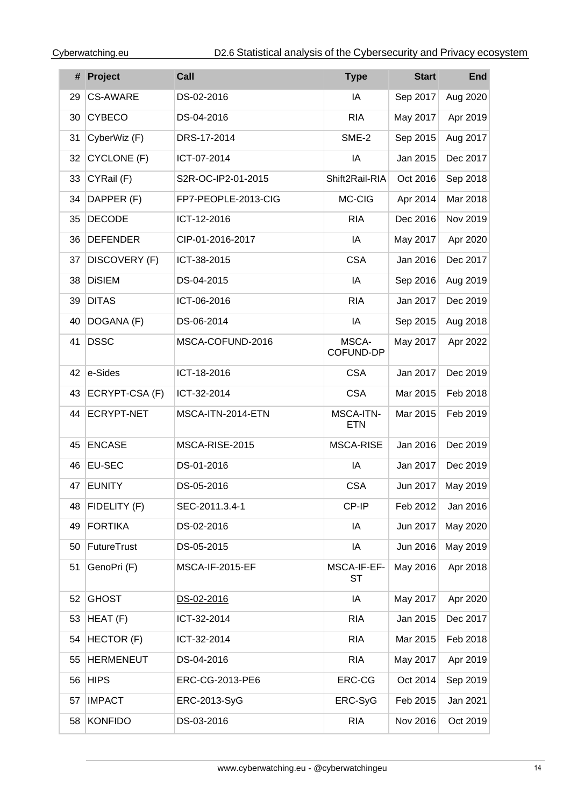|    | # Project         | Call                | <b>Type</b>              | <b>Start</b> | <b>End</b> |
|----|-------------------|---------------------|--------------------------|--------------|------------|
| 29 | <b>CS-AWARE</b>   | DS-02-2016          | ΙA                       | Sep 2017     | Aug 2020   |
| 30 | <b>CYBECO</b>     | DS-04-2016          | <b>RIA</b>               | May 2017     | Apr 2019   |
| 31 | CyberWiz (F)      | DRS-17-2014         | SME-2                    | Sep 2015     | Aug 2017   |
| 32 | CYCLONE (F)       | ICT-07-2014         | ΙA                       | Jan 2015     | Dec 2017   |
| 33 | CYRail (F)        | S2R-OC-IP2-01-2015  | Shift2Rail-RIA           | Oct 2016     | Sep 2018   |
| 34 | DAPPER (F)        | FP7-PEOPLE-2013-CIG | MC-CIG                   | Apr 2014     | Mar 2018   |
| 35 | <b>DECODE</b>     | ICT-12-2016         | <b>RIA</b>               | Dec 2016     | Nov 2019   |
| 36 | <b>DEFENDER</b>   | CIP-01-2016-2017    | IA                       | May 2017     | Apr 2020   |
| 37 | DISCOVERY (F)     | ICT-38-2015         | <b>CSA</b>               | Jan 2016     | Dec 2017   |
| 38 | <b>DiSIEM</b>     | DS-04-2015          | ΙA                       | Sep 2016     | Aug 2019   |
| 39 | <b>DITAS</b>      | ICT-06-2016         | <b>RIA</b>               | Jan 2017     | Dec 2019   |
| 40 | DOGANA (F)        | DS-06-2014          | IA                       | Sep 2015     | Aug 2018   |
| 41 | <b>DSSC</b>       | MSCA-COFUND-2016    | MSCA-<br>COFUND-DP       | May 2017     | Apr 2022   |
| 42 | e-Sides           | ICT-18-2016         | <b>CSA</b>               | Jan 2017     | Dec 2019   |
| 43 | ECRYPT-CSA (F)    | ICT-32-2014         | <b>CSA</b>               | Mar 2015     | Feb 2018   |
| 44 | <b>ECRYPT-NET</b> | MSCA-ITN-2014-ETN   | MSCA-ITN-<br><b>ETN</b>  | Mar 2015     | Feb 2019   |
| 45 | <b>ENCASE</b>     | MSCA-RISE-2015      | MSCA-RISE                | Jan 2016     | Dec 2019   |
| 46 | <b>EU-SEC</b>     | DS-01-2016          | ΙA                       | Jan 2017     | Dec 2019   |
| 47 | <b>EUNITY</b>     | DS-05-2016          | <b>CSA</b>               | Jun 2017     | May 2019   |
| 48 | FIDELITY (F)      | SEC-2011.3.4-1      | CP-IP                    | Feb 2012     | Jan 2016   |
| 49 | <b>FORTIKA</b>    | DS-02-2016          | IA                       | Jun 2017     | May 2020   |
| 50 | FutureTrust       | DS-05-2015          | IA                       | Jun 2016     | May 2019   |
| 51 | GenoPri (F)       | MSCA-IF-2015-EF     | MSCA-IF-EF-<br><b>ST</b> | May 2016     | Apr 2018   |
| 52 | <b>GHOST</b>      | DS-02-2016          | IA                       | May 2017     | Apr 2020   |
| 53 | HEAT (F)          | ICT-32-2014         | <b>RIA</b>               | Jan 2015     | Dec 2017   |
| 54 | HECTOR (F)        | ICT-32-2014         | <b>RIA</b>               | Mar 2015     | Feb 2018   |
| 55 | <b>HERMENEUT</b>  | DS-04-2016          | <b>RIA</b>               | May 2017     | Apr 2019   |
| 56 | <b>HIPS</b>       | ERC-CG-2013-PE6     | ERC-CG                   | Oct 2014     | Sep 2019   |
| 57 | <b>IMPACT</b>     | ERC-2013-SyG        | ERC-SyG                  | Feb 2015     | Jan 2021   |
| 58 | <b>KONFIDO</b>    | DS-03-2016          | <b>RIA</b>               | Nov 2016     | Oct 2019   |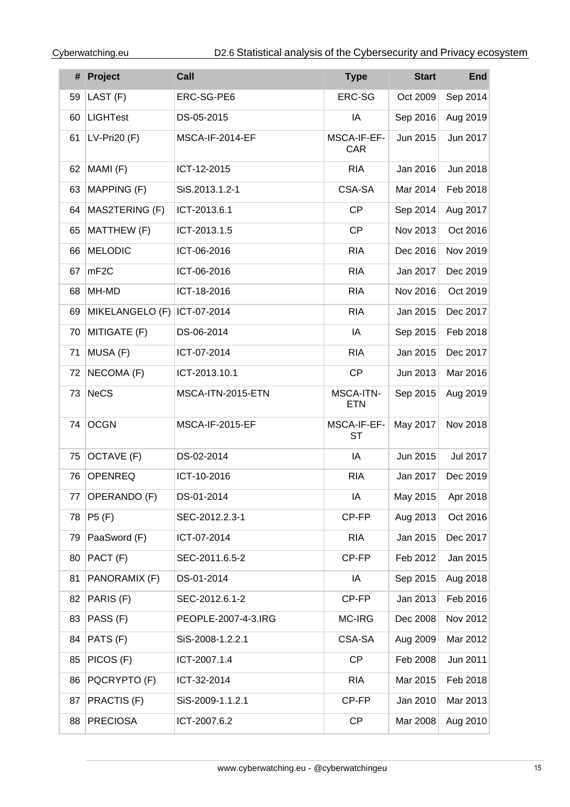|    | # Project        | Call                | <b>Type</b>               | <b>Start</b> | <b>End</b> |
|----|------------------|---------------------|---------------------------|--------------|------------|
| 59 | LAST (F)         | ERC-SG-PE6          | ERC-SG                    | Oct 2009     | Sep 2014   |
| 60 | <b>LIGHTest</b>  | DS-05-2015          | IA                        | Sep 2016     | Aug 2019   |
| 61 | $LV-Pri20(F)$    | MSCA-IF-2014-EF     | MSCA-IF-EF-<br><b>CAR</b> | Jun 2015     | Jun 2017   |
| 62 | MAMI (F)         | ICT-12-2015         | <b>RIA</b>                | Jan 2016     | Jun 2018   |
| 63 | MAPPING (F)      | SiS.2013.1.2-1      | CSA-SA                    | Mar 2014     | Feb 2018   |
| 64 | MAS2TERING (F)   | ICT-2013.6.1        | <b>CP</b>                 | Sep 2014     | Aug 2017   |
| 65 | MATTHEW (F)      | ICT-2013.1.5        | <b>CP</b>                 | Nov 2013     | Oct 2016   |
| 66 | <b>MELODIC</b>   | ICT-06-2016         | <b>RIA</b>                | Dec 2016     | Nov 2019   |
| 67 | mF <sub>2C</sub> | ICT-06-2016         | <b>RIA</b>                | Jan 2017     | Dec 2019   |
| 68 | MH-MD            | ICT-18-2016         | <b>RIA</b>                | Nov 2016     | Oct 2019   |
| 69 | MIKELANGELO (F)  | ICT-07-2014         | <b>RIA</b>                | Jan 2015     | Dec 2017   |
| 70 | MITIGATE (F)     | DS-06-2014          | IA                        | Sep 2015     | Feb 2018   |
| 71 | MUSA (F)         | ICT-07-2014         | <b>RIA</b>                | Jan 2015     | Dec 2017   |
| 72 | NECOMA (F)       | ICT-2013.10.1       | CP                        | Jun 2013     | Mar 2016   |
| 73 | <b>NeCS</b>      | MSCA-ITN-2015-ETN   | MSCA-ITN-<br><b>ETN</b>   | Sep 2015     | Aug 2019   |
| 74 | <b>OCGN</b>      | MSCA-IF-2015-EF     | MSCA-IF-EF-<br>ST         | May 2017     | Nov 2018   |
| 75 | OCTAVE (F)       | DS-02-2014          | IA                        | Jun 2015     | Jul 2017   |
| 76 | <b>OPENREQ</b>   | ICT-10-2016         | <b>RIA</b>                | Jan 2017     | Dec 2019   |
|    | 77 OPERANDO (F)  | DS-01-2014          | ΙA                        | May 2015     | Apr 2018   |
| 78 | P5(F)            | SEC-2012.2.3-1      | CP-FP                     | Aug 2013     | Oct 2016   |
| 79 | PaaSword (F)     | ICT-07-2014         | <b>RIA</b>                | Jan 2015     | Dec 2017   |
| 80 | PACT (F)         | SEC-2011.6.5-2      | CP-FP                     | Feb 2012     | Jan 2015   |
| 81 | PANORAMIX (F)    | DS-01-2014          | IA                        | Sep 2015     | Aug 2018   |
| 82 | PARIS (F)        | SEC-2012.6.1-2      | CP-FP                     | Jan 2013     | Feb 2016   |
| 83 | PASS (F)         | PEOPLE-2007-4-3.IRG | MC-IRG                    | Dec 2008     | Nov 2012   |
| 84 | PATS (F)         | SiS-2008-1.2.2.1    | CSA-SA                    | Aug 2009     | Mar 2012   |
| 85 | PICOS (F)        | ICT-2007.1.4        | <b>CP</b>                 | Feb 2008     | Jun 2011   |
| 86 | PQCRYPTO (F)     | ICT-32-2014         | <b>RIA</b>                | Mar 2015     | Feb 2018   |
| 87 | PRACTIS (F)      | SiS-2009-1.1.2.1    | CP-FP                     | Jan 2010     | Mar 2013   |
| 88 | <b>PRECIOSA</b>  | ICT-2007.6.2        | CP                        | Mar 2008     | Aug 2010   |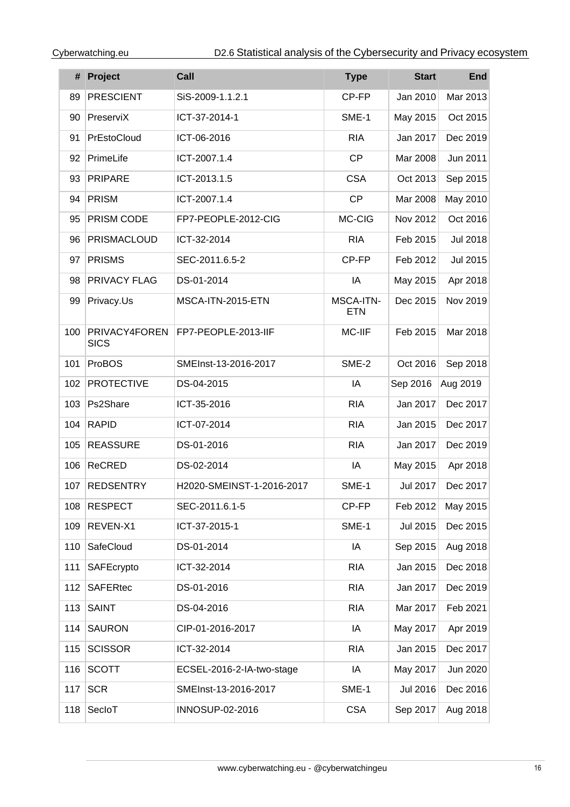|     | # Project                           | Call                      | <b>Type</b>                    | <b>Start</b>    | <b>End</b>      |
|-----|-------------------------------------|---------------------------|--------------------------------|-----------------|-----------------|
| 89  | <b>PRESCIENT</b>                    | SiS-2009-1.1.2.1          | CP-FP                          | Jan 2010        | Mar 2013        |
| 90  | PreserviX                           | ICT-37-2014-1             | SME-1                          | May 2015        | Oct 2015        |
| 91  | PrEstoCloud                         | ICT-06-2016               | <b>RIA</b>                     | Jan 2017        | Dec 2019        |
| 92  | PrimeLife                           | ICT-2007.1.4              | <b>CP</b>                      | Mar 2008        | Jun 2011        |
| 93  | <b>PRIPARE</b>                      | ICT-2013.1.5              | <b>CSA</b>                     | Oct 2013        | Sep 2015        |
| 94  | PRISM                               | ICT-2007.1.4              | <b>CP</b>                      | Mar 2008        | May 2010        |
| 95  | PRISM CODE                          | FP7-PEOPLE-2012-CIG       | MC-CIG                         | Nov 2012        | Oct 2016        |
| 96  | PRISMACLOUD                         | ICT-32-2014               | <b>RIA</b>                     | Feb 2015        | <b>Jul 2018</b> |
| 97  | <b>PRISMS</b>                       | SEC-2011.6.5-2            | CP-FP                          | Feb 2012        | Jul 2015        |
| 98  | PRIVACY FLAG                        | DS-01-2014                | IA                             | May 2015        | Apr 2018        |
| 99  | Privacy.Us                          | MSCA-ITN-2015-ETN         | <b>MSCA-ITN-</b><br><b>ETN</b> | Dec 2015        | Nov 2019        |
| 100 | <b>PRIVACY4FOREN</b><br><b>SICS</b> | FP7-PEOPLE-2013-IIF       | MC-IIF                         | Feb 2015        | Mar 2018        |
| 101 | ProBOS                              | SMEInst-13-2016-2017      | SME-2                          | Oct 2016        | Sep 2018        |
| 102 | <b>PROTECTIVE</b>                   | DS-04-2015                | IA                             | Sep 2016        | Aug 2019        |
| 103 | Ps2Share                            | ICT-35-2016               | <b>RIA</b>                     | Jan 2017        | Dec 2017        |
| 104 | <b>RAPID</b>                        | ICT-07-2014               | <b>RIA</b>                     | Jan 2015        | Dec 2017        |
| 105 | <b>REASSURE</b>                     | DS-01-2016                | <b>RIA</b>                     | Jan 2017        | Dec 2019        |
| 106 | <b>ReCRED</b>                       | DS-02-2014                | IA                             | May 2015        | Apr 2018        |
| 107 | <b>REDSENTRY</b>                    | H2020-SMEINST-1-2016-2017 | SME-1                          | <b>Jul 2017</b> | Dec 2017        |
| 108 | <b>RESPECT</b>                      | SEC-2011.6.1-5            | CP-FP                          | Feb 2012        | May 2015        |
| 109 | REVEN-X1                            | ICT-37-2015-1             | SME-1                          | <b>Jul 2015</b> | Dec 2015        |
| 110 | SafeCloud                           | DS-01-2014                | IA                             | Sep 2015        | Aug 2018        |
| 111 | SAFEcrypto                          | ICT-32-2014               | <b>RIA</b>                     | Jan 2015        | Dec 2018        |
| 112 | <b>SAFERtec</b>                     | DS-01-2016                | <b>RIA</b>                     | Jan 2017        | Dec 2019        |
| 113 | <b>SAINT</b>                        | DS-04-2016                | <b>RIA</b>                     | Mar 2017        | Feb 2021        |
| 114 | <b>SAURON</b>                       | CIP-01-2016-2017          | IA                             | May 2017        | Apr 2019        |
| 115 | <b>SCISSOR</b>                      | ICT-32-2014               | <b>RIA</b>                     | Jan 2015        | Dec 2017        |
| 116 | <b>SCOTT</b>                        | ECSEL-2016-2-IA-two-stage | IA                             | May 2017        | Jun 2020        |
| 117 | <b>SCR</b>                          | SMEInst-13-2016-2017      | SME-1                          | Jul 2016        | Dec 2016        |
| 118 | SecloT                              | INNOSUP-02-2016           | <b>CSA</b>                     | Sep 2017        | Aug 2018        |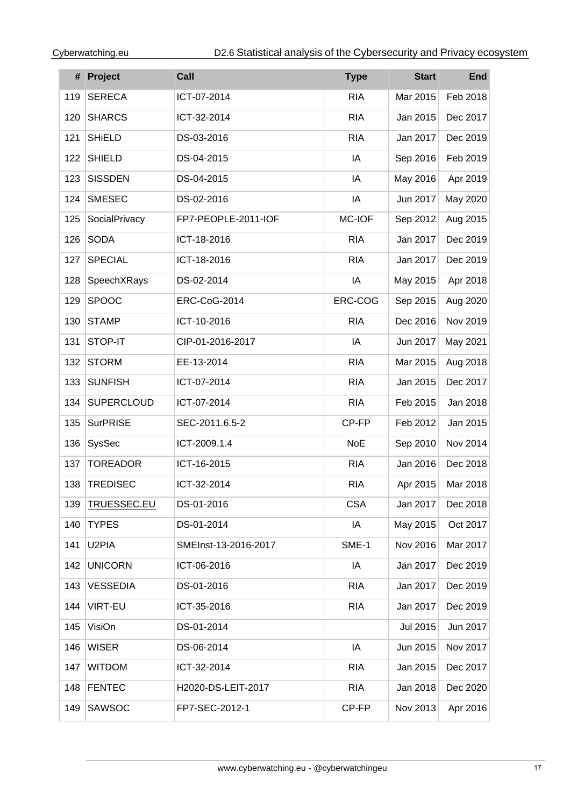|     | # Project          | Call                 | <b>Type</b> | <b>Start</b> | End      |
|-----|--------------------|----------------------|-------------|--------------|----------|
| 119 | <b>SERECA</b>      | ICT-07-2014          | <b>RIA</b>  | Mar 2015     | Feb 2018 |
| 120 | <b>SHARCS</b>      | ICT-32-2014          | <b>RIA</b>  | Jan 2015     | Dec 2017 |
| 121 | <b>SHiELD</b>      | DS-03-2016           | <b>RIA</b>  | Jan 2017     | Dec 2019 |
| 122 | <b>SHIELD</b>      | DS-04-2015           | IA          | Sep 2016     | Feb 2019 |
| 123 | <b>SISSDEN</b>     | DS-04-2015           | IA          | May 2016     | Apr 2019 |
| 124 | <b>SMESEC</b>      | DS-02-2016           | IA          | Jun 2017     | May 2020 |
| 125 | SocialPrivacy      | FP7-PEOPLE-2011-IOF  | MC-IOF      | Sep 2012     | Aug 2015 |
| 126 | <b>SODA</b>        | ICT-18-2016          | <b>RIA</b>  | Jan 2017     | Dec 2019 |
| 127 | <b>SPECIAL</b>     | ICT-18-2016          | <b>RIA</b>  | Jan 2017     | Dec 2019 |
| 128 | SpeechXRays        | DS-02-2014           | IA          | May 2015     | Apr 2018 |
| 129 | <b>SPOOC</b>       | ERC-CoG-2014         | ERC-COG     | Sep 2015     | Aug 2020 |
| 130 | <b>STAMP</b>       | ICT-10-2016          | <b>RIA</b>  | Dec 2016     | Nov 2019 |
| 131 | STOP-IT            | CIP-01-2016-2017     | IA          | Jun 2017     | May 2021 |
| 132 | <b>STORM</b>       | EE-13-2014           | <b>RIA</b>  | Mar 2015     | Aug 2018 |
| 133 | <b>SUNFISH</b>     | ICT-07-2014          | <b>RIA</b>  | Jan 2015     | Dec 2017 |
| 134 | <b>SUPERCLOUD</b>  | ICT-07-2014          | <b>RIA</b>  | Feb 2015     | Jan 2018 |
| 135 | <b>SurPRISE</b>    | SEC-2011.6.5-2       | CP-FP       | Feb 2012     | Jan 2015 |
| 136 | SysSec             | ICT-2009.1.4         | <b>NoE</b>  | Sep 2010     | Nov 2014 |
| 137 | <b>TOREADOR</b>    | ICT-16-2015          | <b>RIA</b>  | Jan 2016     | Dec 2018 |
| 138 | TREDISEC           | ICT-32-2014          | <b>RIA</b>  | Apr 2015     | Mar 2018 |
| 139 | <b>TRUESSEC.EU</b> | DS-01-2016           | <b>CSA</b>  | Jan 2017     | Dec 2018 |
| 140 | <b>TYPES</b>       | DS-01-2014           | IA          | May 2015     | Oct 2017 |
| 141 | U <sub>2</sub> PIA | SMEInst-13-2016-2017 | SME-1       | Nov 2016     | Mar 2017 |
| 142 | <b>UNICORN</b>     | ICT-06-2016          | IA          | Jan 2017     | Dec 2019 |
| 143 | <b>VESSEDIA</b>    | DS-01-2016           | <b>RIA</b>  | Jan 2017     | Dec 2019 |
| 144 | <b>VIRT-EU</b>     | ICT-35-2016          | <b>RIA</b>  | Jan 2017     | Dec 2019 |
| 145 | VisiOn             | DS-01-2014           |             | Jul 2015     | Jun 2017 |
| 146 | <b>WISER</b>       | DS-06-2014           | IA          | Jun 2015     | Nov 2017 |
| 147 | <b>WITDOM</b>      | ICT-32-2014          | <b>RIA</b>  | Jan 2015     | Dec 2017 |
| 148 | <b>FENTEC</b>      | H2020-DS-LEIT-2017   | <b>RIA</b>  | Jan 2018     | Dec 2020 |
| 149 | SAWSOC             | FP7-SEC-2012-1       | CP-FP       | Nov 2013     | Apr 2016 |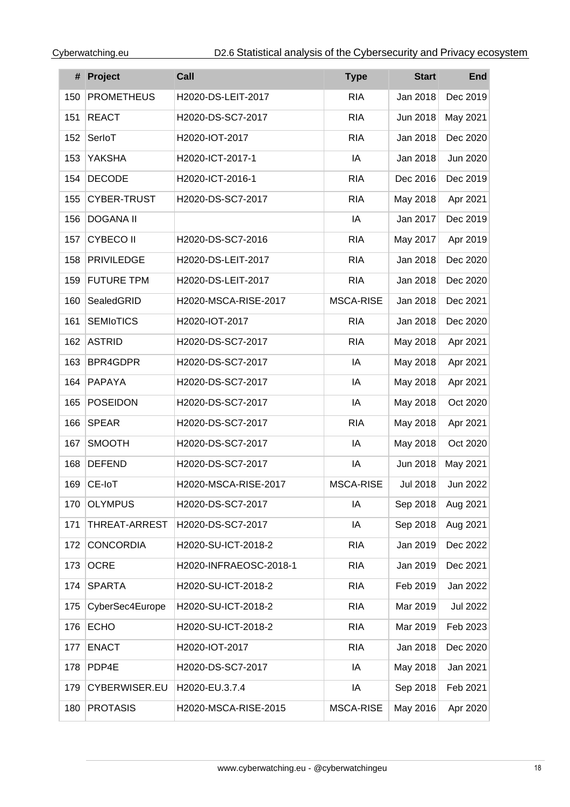|     | # Project          | Call                   | <b>Type</b>      | <b>Start</b>    | <b>End</b>      |
|-----|--------------------|------------------------|------------------|-----------------|-----------------|
| 150 | <b>PROMETHEUS</b>  | H2020-DS-LEIT-2017     | <b>RIA</b>       | Jan 2018        | Dec 2019        |
| 151 | <b>REACT</b>       | H2020-DS-SC7-2017      | <b>RIA</b>       | Jun 2018        | May 2021        |
| 152 | SerloT             | H2020-IOT-2017         | <b>RIA</b>       | Jan 2018        | Dec 2020        |
| 153 | <b>YAKSHA</b>      | H2020-ICT-2017-1       | IA               | Jan 2018        | Jun 2020        |
| 154 | <b>DECODE</b>      | H2020-ICT-2016-1       | <b>RIA</b>       | Dec 2016        | Dec 2019        |
| 155 | <b>CYBER-TRUST</b> | H2020-DS-SC7-2017      | <b>RIA</b>       | May 2018        | Apr 2021        |
| 156 | <b>DOGANA II</b>   |                        | IA               | Jan 2017        | Dec 2019        |
| 157 | <b>CYBECO II</b>   | H2020-DS-SC7-2016      | <b>RIA</b>       | May 2017        | Apr 2019        |
| 158 | <b>PRIVILEDGE</b>  | H2020-DS-LEIT-2017     | <b>RIA</b>       | Jan 2018        | Dec 2020        |
| 159 | <b>FUTURE TPM</b>  | H2020-DS-LEIT-2017     | <b>RIA</b>       | Jan 2018        | Dec 2020        |
| 160 | SealedGRID         | H2020-MSCA-RISE-2017   | <b>MSCA-RISE</b> | Jan 2018        | Dec 2021        |
| 161 | <b>SEMIOTICS</b>   | H2020-IOT-2017         | <b>RIA</b>       | Jan 2018        | Dec 2020        |
| 162 | <b>ASTRID</b>      | H2020-DS-SC7-2017      | <b>RIA</b>       | May 2018        | Apr 2021        |
| 163 | <b>BPR4GDPR</b>    | H2020-DS-SC7-2017      | IA               | May 2018        | Apr 2021        |
| 164 | <b>PAPAYA</b>      | H2020-DS-SC7-2017      | IA               | May 2018        | Apr 2021        |
| 165 | <b>POSEIDON</b>    | H2020-DS-SC7-2017      | IA               | May 2018        | Oct 2020        |
| 166 | <b>SPEAR</b>       | H2020-DS-SC7-2017      | <b>RIA</b>       | May 2018        | Apr 2021        |
| 167 | <b>SMOOTH</b>      | H2020-DS-SC7-2017      | IA               | May 2018        | Oct 2020        |
| 168 | <b>DEFEND</b>      | H2020-DS-SC7-2017      | IA               | Jun 2018        | May 2021        |
| 169 | CE-IoT             | H2020-MSCA-RISE-2017   | <b>MSCA-RISE</b> | <b>Jul 2018</b> | Jun 2022        |
| 170 | <b>OLYMPUS</b>     | H2020-DS-SC7-2017      | IA               | Sep 2018        | Aug 2021        |
| 171 | THREAT-ARREST      | H2020-DS-SC7-2017      | IA               | Sep 2018        | Aug 2021        |
| 172 | <b>CONCORDIA</b>   | H2020-SU-ICT-2018-2    | <b>RIA</b>       | Jan 2019        | Dec 2022        |
| 173 | <b>OCRE</b>        | H2020-INFRAEOSC-2018-1 | <b>RIA</b>       | Jan 2019        | Dec 2021        |
| 174 | <b>SPARTA</b>      | H2020-SU-ICT-2018-2    | <b>RIA</b>       | Feb 2019        | Jan 2022        |
| 175 | CyberSec4Europe    | H2020-SU-ICT-2018-2    | <b>RIA</b>       | Mar 2019        | <b>Jul 2022</b> |
| 176 | <b>ECHO</b>        | H2020-SU-ICT-2018-2    | <b>RIA</b>       | Mar 2019        | Feb 2023        |
| 177 | <b>ENACT</b>       | H2020-IOT-2017         | <b>RIA</b>       | Jan 2018        | Dec 2020        |
| 178 | PDP4E              | H2020-DS-SC7-2017      | IA               | May 2018        | Jan 2021        |
| 179 | CYBERWISER.EU      | H2020-EU.3.7.4         | IA               | Sep 2018        | Feb 2021        |
| 180 | <b>PROTASIS</b>    | H2020-MSCA-RISE-2015   | MSCA-RISE        | May 2016        | Apr 2020        |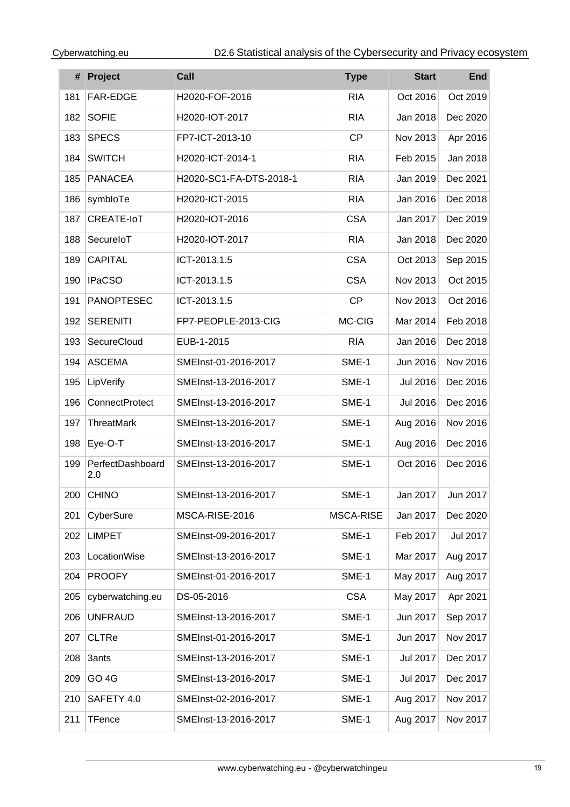|     | # Project               | Call                    | <b>Type</b> | <b>Start</b>    | <b>End</b>      |
|-----|-------------------------|-------------------------|-------------|-----------------|-----------------|
| 181 | FAR-EDGE                | H2020-FOF-2016          | <b>RIA</b>  | Oct 2016        | Oct 2019        |
| 182 | <b>SOFIE</b>            | H2020-IOT-2017          | <b>RIA</b>  | Jan 2018        | Dec 2020        |
| 183 | <b>SPECS</b>            | FP7-ICT-2013-10         | <b>CP</b>   | Nov 2013        | Apr 2016        |
| 184 | <b>SWITCH</b>           | H2020-ICT-2014-1        | <b>RIA</b>  | Feb 2015        | Jan 2018        |
| 185 | <b>PANACEA</b>          | H2020-SC1-FA-DTS-2018-1 | <b>RIA</b>  | Jan 2019        | Dec 2021        |
| 186 | symbloTe                | H2020-ICT-2015          | <b>RIA</b>  | Jan 2016        | Dec 2018        |
| 187 | CREATE-IoT              | H2020-IOT-2016          | <b>CSA</b>  | Jan 2017        | Dec 2019        |
| 188 | SecureloT               | H2020-IOT-2017          | <b>RIA</b>  | Jan 2018        | Dec 2020        |
| 189 | <b>CAPITAL</b>          | ICT-2013.1.5            | <b>CSA</b>  | Oct 2013        | Sep 2015        |
| 190 | <b>IPaCSO</b>           | ICT-2013.1.5            | <b>CSA</b>  | Nov 2013        | Oct 2015        |
| 191 | <b>PANOPTESEC</b>       | ICT-2013.1.5            | <b>CP</b>   | Nov 2013        | Oct 2016        |
| 192 | <b>SERENITI</b>         | FP7-PEOPLE-2013-CIG     | MC-CIG      | Mar 2014        | Feb 2018        |
| 193 | SecureCloud             | EUB-1-2015              | <b>RIA</b>  | Jan 2016        | Dec 2018        |
| 194 | <b>ASCEMA</b>           | SMEInst-01-2016-2017    | SME-1       | Jun 2016        | Nov 2016        |
| 195 | LipVerify               | SMEInst-13-2016-2017    | SME-1       | Jul 2016        | Dec 2016        |
| 196 | <b>ConnectProtect</b>   | SMEInst-13-2016-2017    | SME-1       | <b>Jul 2016</b> | Dec 2016        |
| 197 | <b>ThreatMark</b>       | SMEInst-13-2016-2017    | SME-1       | Aug 2016        | Nov 2016        |
| 198 | Eye-O-T                 | SMEInst-13-2016-2017    | SME-1       | Aug 2016        | Dec 2016        |
| 199 | PerfectDashboard<br>2.0 | SMEInst-13-2016-2017    | SME-1       | Oct 2016        | Dec 2016        |
| 200 | <b>CHINO</b>            | SMEInst-13-2016-2017    | SME-1       | Jan 2017        | Jun 2017        |
| 201 | CyberSure               | MSCA-RISE-2016          | MSCA-RISE   | Jan 2017        | Dec 2020        |
| 202 | <b>LIMPET</b>           | SMEInst-09-2016-2017    | SME-1       | Feb 2017        | <b>Jul 2017</b> |
| 203 | LocationWise            | SMEInst-13-2016-2017    | SME-1       | Mar 2017        | Aug 2017        |
| 204 | <b>PROOFY</b>           | SMEInst-01-2016-2017    | SME-1       | May 2017        | Aug 2017        |
| 205 | cyberwatching.eu        | DS-05-2016              | <b>CSA</b>  | May 2017        | Apr 2021        |
| 206 | <b>UNFRAUD</b>          | SMEInst-13-2016-2017    | SME-1       | Jun 2017        | Sep 2017        |
| 207 | <b>CLTRe</b>            | SMEInst-01-2016-2017    | SME-1       | Jun 2017        | Nov 2017        |
| 208 | 3ants                   | SMEInst-13-2016-2017    | SME-1       | Jul 2017        | Dec 2017        |
| 209 | GO <sub>4G</sub>        | SMEInst-13-2016-2017    | SME-1       | Jul 2017        | Dec 2017        |
| 210 | SAFETY 4.0              | SMEInst-02-2016-2017    | SME-1       | Aug 2017        | Nov 2017        |
| 211 | TFence                  | SMEInst-13-2016-2017    | SME-1       | Aug 2017        | Nov 2017        |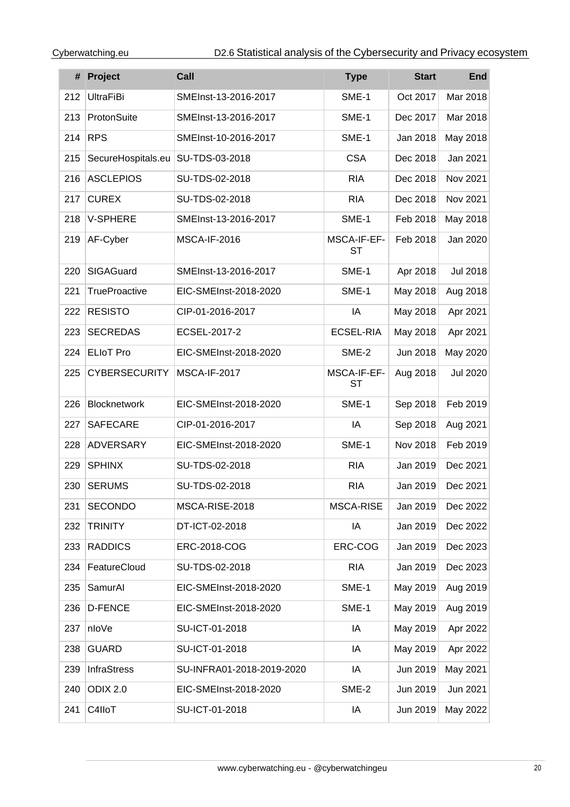|     | # Project            | Call                      | <b>Type</b>              | <b>Start</b> | <b>End</b>      |
|-----|----------------------|---------------------------|--------------------------|--------------|-----------------|
| 212 | <b>UltraFiBi</b>     | SMEInst-13-2016-2017      | SME-1                    | Oct 2017     | Mar 2018        |
| 213 | ProtonSuite          | SMEInst-13-2016-2017      | SME-1                    | Dec 2017     | Mar 2018        |
| 214 | <b>RPS</b>           | SMEInst-10-2016-2017      | SME-1                    | Jan 2018     | May 2018        |
| 215 | SecureHospitals.eu   | SU-TDS-03-2018            | <b>CSA</b>               | Dec 2018     | Jan 2021        |
| 216 | <b>ASCLEPIOS</b>     | SU-TDS-02-2018            | <b>RIA</b>               | Dec 2018     | Nov 2021        |
| 217 | <b>CUREX</b>         | SU-TDS-02-2018            | <b>RIA</b>               | Dec 2018     | Nov 2021        |
| 218 | V-SPHERE             | SMEInst-13-2016-2017      | SME-1                    | Feb 2018     | May 2018        |
| 219 | AF-Cyber             | <b>MSCA-IF-2016</b>       | MSCA-IF-EF-<br><b>ST</b> | Feb 2018     | Jan 2020        |
| 220 | SIGAGuard            | SMEInst-13-2016-2017      | SME-1                    | Apr 2018     | <b>Jul 2018</b> |
| 221 | <b>TrueProactive</b> | EIC-SMEInst-2018-2020     | SME-1                    | May 2018     | Aug 2018        |
| 222 | <b>RESISTO</b>       | CIP-01-2016-2017          | IA                       | May 2018     | Apr 2021        |
| 223 | <b>SECREDAS</b>      | ECSEL-2017-2              | <b>ECSEL-RIA</b>         | May 2018     | Apr 2021        |
| 224 | <b>ELIoT Pro</b>     | EIC-SMEInst-2018-2020     | SME-2                    | Jun 2018     | May 2020        |
| 225 | <b>CYBERSECURITY</b> | <b>MSCA-IF-2017</b>       | MSCA-IF-EF-<br><b>ST</b> | Aug 2018     | <b>Jul 2020</b> |
| 226 | Blocknetwork         | EIC-SMEInst-2018-2020     | SME-1                    | Sep 2018     | Feb 2019        |
| 227 | <b>SAFECARE</b>      | CIP-01-2016-2017          | IA                       | Sep 2018     | Aug 2021        |
| 228 | <b>ADVERSARY</b>     | EIC-SMEInst-2018-2020     | SME-1                    | Nov 2018     | Feb 2019        |
| 229 | <b>SPHINX</b>        | SU-TDS-02-2018            | <b>RIA</b>               | Jan 2019     | Dec 2021        |
| 230 | <b>SERUMS</b>        | SU-TDS-02-2018            | <b>RIA</b>               | Jan 2019     | Dec 2021        |
| 231 | <b>SECONDO</b>       | MSCA-RISE-2018            | <b>MSCA-RISE</b>         | Jan 2019     | Dec 2022        |
| 232 | <b>TRINITY</b>       | DT-ICT-02-2018            | IA                       | Jan 2019     | Dec 2022        |
| 233 | <b>RADDICS</b>       | ERC-2018-COG              | ERC-COG                  | Jan 2019     | Dec 2023        |
| 234 | FeatureCloud         | SU-TDS-02-2018            | <b>RIA</b>               | Jan 2019     | Dec 2023        |
| 235 | SamurAl              | EIC-SMEInst-2018-2020     | SME-1                    | May 2019     | Aug 2019        |
| 236 | <b>D-FENCE</b>       | EIC-SMEInst-2018-2020     | SME-1                    | May 2019     | Aug 2019        |
| 237 | nloVe                | SU-ICT-01-2018            | IA                       | May 2019     | Apr 2022        |
| 238 | <b>GUARD</b>         | SU-ICT-01-2018            | IA                       | May 2019     | Apr 2022        |
| 239 | InfraStress          | SU-INFRA01-2018-2019-2020 | IA                       | Jun 2019     | May 2021        |
| 240 | ODIX 2.0             | EIC-SMEInst-2018-2020     | SME-2                    | Jun 2019     | Jun 2021        |
| 241 | C4IIoT               | SU-ICT-01-2018            | IA                       | Jun 2019     | May 2022        |